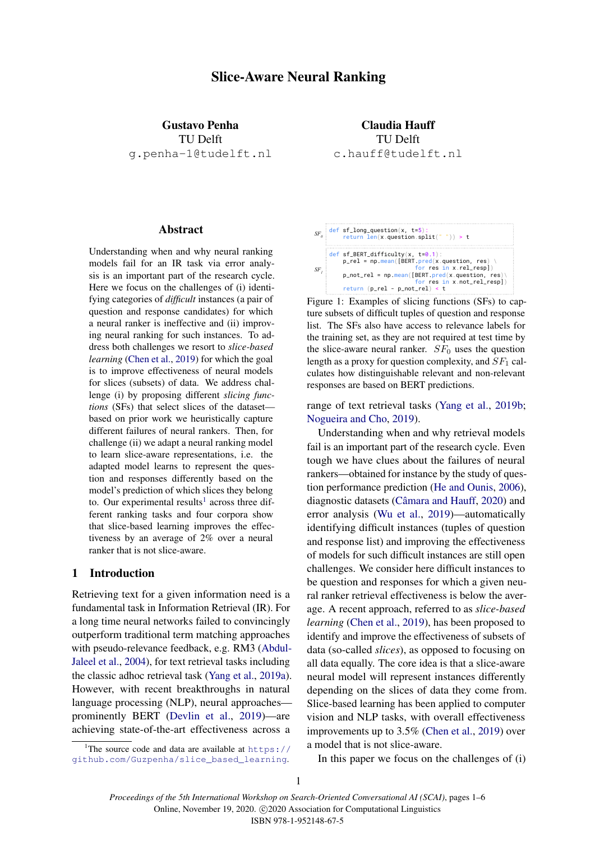# Slice-Aware Neural Ranking

Gustavo Penha TU Delft g.penha-1@tudelft.nl

Claudia Hauff TU Delft c.hauff@tudelft.nl

## Abstract

Understanding when and why neural ranking models fail for an IR task via error analysis is an important part of the research cycle. Here we focus on the challenges of (i) identifying categories of *difficult* instances (a pair of question and response candidates) for which a neural ranker is ineffective and (ii) improving neural ranking for such instances. To address both challenges we resort to *slice-based learning* [\(Chen et al.,](#page-4-0) [2019\)](#page-4-0) for which the goal is to improve effectiveness of neural models for slices (subsets) of data. We address challenge (i) by proposing different *slicing functions* (SFs) that select slices of the dataset based on prior work we heuristically capture different failures of neural rankers. Then, for challenge (ii) we adapt a neural ranking model to learn slice-aware representations, i.e. the adapted model learns to represent the question and responses differently based on the model's prediction of which slices they belong to. Our experimental results<sup>[1](#page-0-0)</sup> across three different ranking tasks and four corpora show that slice-based learning improves the effectiveness by an average of 2% over a neural ranker that is not slice-aware.

## 1 Introduction

Retrieving text for a given information need is a fundamental task in Information Retrieval (IR). For a long time neural networks failed to convincingly outperform traditional term matching approaches with pseudo-relevance feedback, e.g. RM3 [\(Abdul-](#page-4-1)[Jaleel et al.,](#page-4-1) [2004\)](#page-4-1), for text retrieval tasks including the classic adhoc retrieval task [\(Yang et al.,](#page-5-0) [2019a\)](#page-5-0). However, with recent breakthroughs in natural language processing (NLP), neural approaches prominently BERT [\(Devlin et al.,](#page-4-2) [2019\)](#page-4-2)—are achieving state-of-the-art effectiveness across a

<span id="page-0-0"></span><sup>1</sup>The source code and data are available at  $h$ ttps:// [github.com/Guzpenha/slice\\_based\\_learning](https://github.com/Guzpenha/slice_based_learning).



Figure 1: Examples of slicing functions (SFs) to capture subsets of difficult tuples of question and response list. The SFs also have access to relevance labels for the training set, as they are not required at test time by the slice-aware neural ranker.  $SF<sub>0</sub>$  uses the question length as a proxy for question complexity, and  $SF<sub>1</sub>$  calculates how distinguishable relevant and non-relevant responses are based on BERT predictions.

### range of text retrieval tasks [\(Yang et al.,](#page-5-1) [2019b;](#page-5-1) [Nogueira and Cho,](#page-4-3) [2019\)](#page-4-3).

Understanding when and why retrieval models fail is an important part of the research cycle. Even tough we have clues about the failures of neural rankers—obtained for instance by the study of question performance prediction [\(He and Ounis,](#page-4-4) [2006\)](#page-4-4), diagnostic datasets (Câmara and Hauff, [2020\)](#page-4-5) and error analysis [\(Wu et al.,](#page-4-6) [2019\)](#page-4-6)—automatically identifying difficult instances (tuples of question and response list) and improving the effectiveness of models for such difficult instances are still open challenges. We consider here difficult instances to be question and responses for which a given neural ranker retrieval effectiveness is below the average. A recent approach, referred to as *slice-based learning* [\(Chen et al.,](#page-4-0) [2019\)](#page-4-0), has been proposed to identify and improve the effectiveness of subsets of data (so-called *slices*), as opposed to focusing on all data equally. The core idea is that a slice-aware neural model will represent instances differently depending on the slices of data they come from. Slice-based learning has been applied to computer vision and NLP tasks, with overall effectiveness improvements up to 3.5% [\(Chen et al.,](#page-4-0) [2019\)](#page-4-0) over a model that is not slice-aware.

In this paper we focus on the challenges of (i)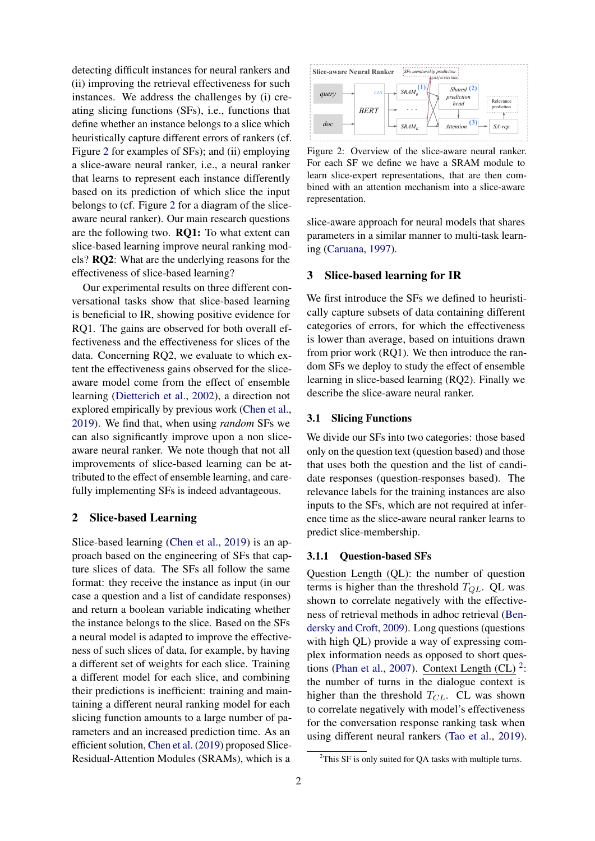detecting difficult instances for neural rankers and (ii) improving the retrieval effectiveness for such instances. We address the challenges by (i) creating slicing functions (SFs), i.e., functions that define whether an instance belongs to a slice which heuristically capture different errors of rankers (cf. Figure [2](#page-1-0) for examples of SFs); and (ii) employing a slice-aware neural ranker, i.e., a neural ranker that learns to represent each instance differently based on its prediction of which slice the input belongs to (cf. Figure [2](#page-1-0) for a diagram of the sliceaware neural ranker). Our main research questions are the following two. RQ1: To what extent can slice-based learning improve neural ranking models? RQ2: What are the underlying reasons for the effectiveness of slice-based learning?

Our experimental results on three different conversational tasks show that slice-based learning is beneficial to IR, showing positive evidence for RQ1. The gains are observed for both overall effectiveness and the effectiveness for slices of the data. Concerning RQ2, we evaluate to which extent the effectiveness gains observed for the sliceaware model come from the effect of ensemble learning [\(Dietterich et al.,](#page-4-7) [2002\)](#page-4-7), a direction not explored empirically by previous work [\(Chen et al.,](#page-4-0) [2019\)](#page-4-0). We find that, when using *random* SFs we can also significantly improve upon a non sliceaware neural ranker. We note though that not all improvements of slice-based learning can be attributed to the effect of ensemble learning, and carefully implementing SFs is indeed advantageous.

### 2 Slice-based Learning

Slice-based learning [\(Chen et al.,](#page-4-0) [2019\)](#page-4-0) is an approach based on the engineering of SFs that capture slices of data. The SFs all follow the same format: they receive the instance as input (in our case a question and a list of candidate responses) and return a boolean variable indicating whether the instance belongs to the slice. Based on the SFs a neural model is adapted to improve the effectiveness of such slices of data, for example, by having a different set of weights for each slice. Training a different model for each slice, and combining their predictions is inefficient: training and maintaining a different neural ranking model for each slicing function amounts to a large number of parameters and an increased prediction time. As an efficient solution, [Chen et al.](#page-4-0) [\(2019\)](#page-4-0) proposed Slice-Residual-Attention Modules (SRAMs), which is a

<span id="page-1-0"></span>

Figure 2: Overview of the slice-aware neural ranker. For each SF we define we have a SRAM module to learn slice-expert representations, that are then combined with an attention mechanism into a slice-aware representation.

slice-aware approach for neural models that shares parameters in a similar manner to multi-task learning [\(Caruana,](#page-4-8) [1997\)](#page-4-8).

#### 3 Slice-based learning for IR

We first introduce the SFs we defined to heuristically capture subsets of data containing different categories of errors, for which the effectiveness is lower than average, based on intuitions drawn from prior work (RQ1). We then introduce the random SFs we deploy to study the effect of ensemble learning in slice-based learning (RQ2). Finally we describe the slice-aware neural ranker.

#### 3.1 Slicing Functions

We divide our SFs into two categories: those based only on the question text (question based) and those that uses both the question and the list of candidate responses (question-responses based). The relevance labels for the training instances are also inputs to the SFs, which are not required at inference time as the slice-aware neural ranker learns to predict slice-membership.

## 3.1.1 Question-based SFs

Question Length (QL): the number of question terms is higher than the threshold  $T_{QL}$ . QL was shown to correlate negatively with the effectiveness of retrieval methods in adhoc retrieval [\(Ben](#page-4-9)[dersky and Croft,](#page-4-9) [2009\)](#page-4-9). Long questions (questions with high QL) provide a way of expressing complex information needs as opposed to short ques-tions [\(Phan et al.,](#page-4-10) [2007\)](#page-4-10). Context Length (CL)  $2$ : the number of turns in the dialogue context is higher than the threshold  $T_{CL}$ . CL was shown to correlate negatively with model's effectiveness for the conversation response ranking task when using different neural rankers [\(Tao et al.,](#page-4-11) [2019\)](#page-4-11).

<span id="page-1-1"></span> $2$ This SF is only suited for QA tasks with multiple turns.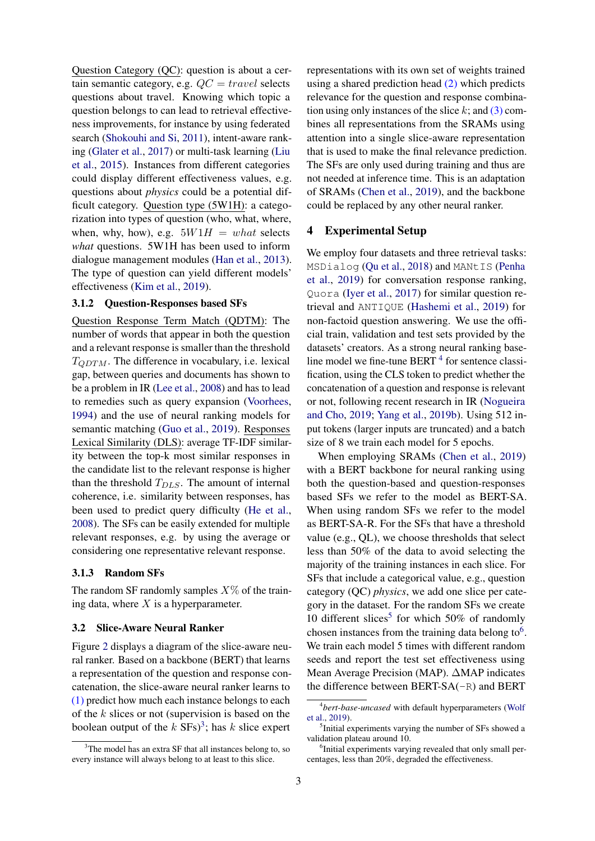Question Category (QC): question is about a certain semantic category, e.g.  $QC = travel$  selects questions about travel. Knowing which topic a question belongs to can lead to retrieval effectiveness improvements, for instance by using federated search [\(Shokouhi and Si,](#page-4-12) [2011\)](#page-4-12), intent-aware ranking [\(Glater et al.,](#page-4-13) [2017\)](#page-4-13) or multi-task learning [\(Liu](#page-4-14) [et al.,](#page-4-14) [2015\)](#page-4-14). Instances from different categories could display different effectiveness values, e.g. questions about *physics* could be a potential difficult category. Question type (5W1H): a categorization into types of question (who, what, where, when, why, how), e.g.  $5W1H = what$  selects *what* questions. 5W1H has been used to inform dialogue management modules [\(Han et al.,](#page-4-15) [2013\)](#page-4-15). The type of question can yield different models' effectiveness [\(Kim et al.,](#page-4-16) [2019\)](#page-4-16).

### 3.1.2 Question-Responses based SFs

Question Response Term Match (QDTM): The number of words that appear in both the question and a relevant response is smaller than the threshold  $T_{ODTM}$ . The difference in vocabulary, i.e. lexical gap, between queries and documents has shown to be a problem in IR [\(Lee et al.,](#page-4-17) [2008\)](#page-4-17) and has to lead to remedies such as query expansion [\(Voorhees,](#page-4-18) [1994\)](#page-4-18) and the use of neural ranking models for semantic matching [\(Guo et al.,](#page-4-19) [2019\)](#page-4-19). Responses Lexical Similarity (DLS): average TF-IDF similarity between the top-k most similar responses in the candidate list to the relevant response is higher than the threshold  $T_{DLS}$ . The amount of internal coherence, i.e. similarity between responses, has been used to predict query difficulty [\(He et al.,](#page-4-20) [2008\)](#page-4-20). The SFs can be easily extended for multiple relevant responses, e.g. by using the average or considering one representative relevant response.

#### 3.1.3 Random SFs

The random SF randomly samples  $X\%$  of the training data, where  $X$  is a hyperparameter.

#### 3.2 Slice-Aware Neural Ranker

Figure [2](#page-1-0) displays a diagram of the slice-aware neural ranker. Based on a backbone (BERT) that learns a representation of the question and response concatenation, the slice-aware neural ranker learns to (1) predict how much each instance belongs to each of the  $k$  slices or not (supervision is based on the boolean output of the  $k$  SFs)<sup>[3](#page-2-0)</sup>; has  $k$  slice expert

representations with its own set of weights trained using a shared prediction head (2) which predicts relevance for the question and response combination using only instances of the slice  $k$ ; and  $(3)$  combines all representations from the SRAMs using attention into a single slice-aware representation that is used to make the final relevance prediction. The SFs are only used during training and thus are not needed at inference time. This is an adaptation of SRAMs [\(Chen et al.,](#page-4-0) [2019\)](#page-4-0), and the backbone could be replaced by any other neural ranker.

### 4 Experimental Setup

We employ four datasets and three retrieval tasks: MSDialog [\(Qu et al.,](#page-4-21) [2018\)](#page-4-21) and MANtIS [\(Penha](#page-4-22) [et al.,](#page-4-22) [2019\)](#page-4-22) for conversation response ranking, Quora [\(Iyer et al.,](#page-4-23) [2017\)](#page-4-23) for similar question retrieval and ANTIQUE [\(Hashemi et al.,](#page-4-24) [2019\)](#page-4-24) for non-factoid question answering. We use the official train, validation and test sets provided by the datasets' creators. As a strong neural ranking baseline model we fine-tune  $BERT<sup>4</sup>$  $BERT<sup>4</sup>$  $BERT<sup>4</sup>$  for sentence classification, using the CLS token to predict whether the concatenation of a question and response is relevant or not, following recent research in IR [\(Nogueira](#page-4-3) [and Cho,](#page-4-3) [2019;](#page-4-3) [Yang et al.,](#page-5-1) [2019b\)](#page-5-1). Using 512 input tokens (larger inputs are truncated) and a batch size of 8 we train each model for 5 epochs.

When employing SRAMs [\(Chen et al.,](#page-4-0) [2019\)](#page-4-0) with a BERT backbone for neural ranking using both the question-based and question-responses based SFs we refer to the model as BERT-SA. When using random SFs we refer to the model as BERT-SA-R. For the SFs that have a threshold value (e.g., QL), we choose thresholds that select less than 50% of the data to avoid selecting the majority of the training instances in each slice. For SFs that include a categorical value, e.g., question category (QC) *physics*, we add one slice per category in the dataset. For the random SFs we create 10 different slices<sup>[5](#page-2-2)</sup> for which 50% of randomly chosen instances from the training data belong to  $6$ . We train each model 5 times with different random seeds and report the test set effectiveness using Mean Average Precision (MAP). ∆MAP indicates the difference between BERT-SA(-R) and BERT

<span id="page-2-0"></span> $3$ The model has an extra SF that all instances belong to, so every instance will always belong to at least to this slice.

<span id="page-2-1"></span><sup>4</sup> *bert-base-uncased* with default hyperparameters [\(Wolf](#page-4-25) [et al.,](#page-4-25) [2019\)](#page-4-25).

<span id="page-2-2"></span><sup>&</sup>lt;sup>5</sup>Initial experiments varying the number of SFs showed a validation plateau around 10.

<span id="page-2-3"></span><sup>6</sup> Initial experiments varying revealed that only small percentages, less than 20%, degraded the effectiveness.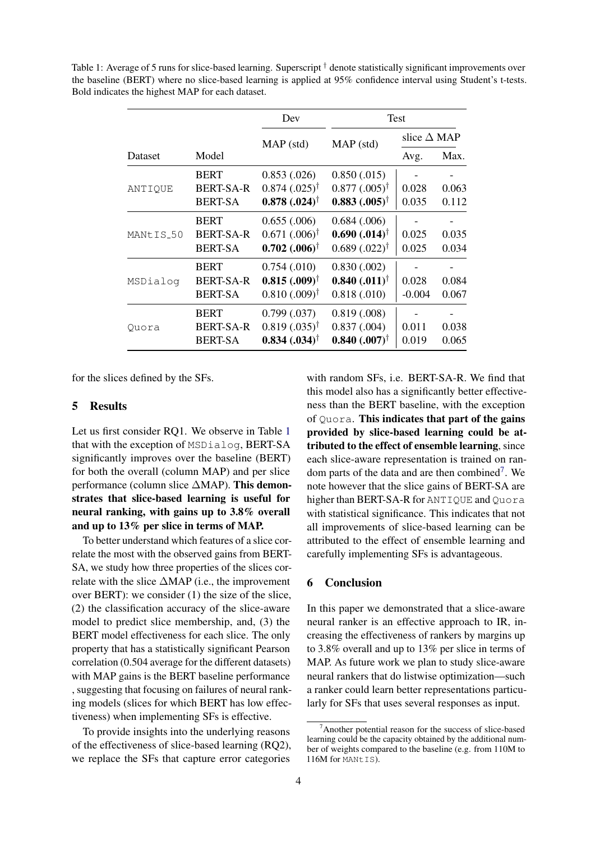| Dataset               | Model            | Dev<br>$MAP$ (std)            | Test                          |                       |       |
|-----------------------|------------------|-------------------------------|-------------------------------|-----------------------|-------|
|                       |                  |                               | MAP (std)                     | slice $\triangle$ MAP |       |
|                       |                  |                               |                               | Avg.                  | Max.  |
| ANTIOUE               | <b>BERT</b>      | 0.853(0.026)                  | 0.850(0.015)                  |                       |       |
|                       | <b>BERT-SA-R</b> | $0.874$ $(.025)^{\dagger}$    | $0.877(.005)^{\dagger}$       | 0.028                 | 0.063 |
|                       | <b>BERT-SA</b>   | $0.878(.024)^{\dagger}$       | $0.883$ $(.005)^{\dagger}$    | 0.035                 | 0.112 |
| MANtIS <sub>-50</sub> | <b>BERT</b>      | 0.655(.006)                   | 0.684(0.006)                  |                       |       |
|                       | <b>BERT-SA-R</b> | $0.671(.006)^{\dagger}$       | $0.690$ $(.014)$ <sup>†</sup> | 0.025                 | 0.035 |
|                       | <b>BERT-SA</b>   | $0.702(.006)^{\dagger}$       | $0.689(.022)^{\dagger}$       | 0.025                 | 0.034 |
| MSDialog              | <b>BERT</b>      | 0.754(0.010)                  | 0.830(0.002)                  |                       |       |
|                       | <b>BERT-SA-R</b> | $0.815(.009)^{\dagger}$       | $0.840$ $(.011)$ <sup>†</sup> | 0.028                 | 0.084 |
|                       | <b>BERT-SA</b>   | $0.810(.009)$ <sup>†</sup>    | 0.818(0.010)                  | $-0.004$              | 0.067 |
| Ouora                 | <b>BERT</b>      | 0.799(0.037)                  | 0.819(0.008)                  |                       |       |
|                       | <b>BERT-SA-R</b> | $0.819(.035)^{\dagger}$       | 0.837(0.004)                  | 0.011                 | 0.038 |
|                       | <b>BERT-SA</b>   | $0.834$ $(.034)$ <sup>†</sup> | $0.840$ $(.007)$ <sup>†</sup> | 0.019                 | 0.065 |

<span id="page-3-0"></span>Table 1: Average of 5 runs for slice-based learning. Superscript  $\dagger$  denote statistically significant improvements over the baseline (BERT) where no slice-based learning is applied at 95% confidence interval using Student's t-tests. Bold indicates the highest MAP for each dataset.

for the slices defined by the SFs.

#### 5 Results

Let us first consider RQ1. We observe in Table [1](#page-3-0) that with the exception of MSDialog, BERT-SA significantly improves over the baseline (BERT) for both the overall (column MAP) and per slice performance (column slice ∆MAP). This demonstrates that slice-based learning is useful for neural ranking, with gains up to 3.8% overall and up to 13% per slice in terms of MAP.

To better understand which features of a slice correlate the most with the observed gains from BERT-SA, we study how three properties of the slices correlate with the slice ∆MAP (i.e., the improvement over BERT): we consider (1) the size of the slice, (2) the classification accuracy of the slice-aware model to predict slice membership, and, (3) the BERT model effectiveness for each slice. The only property that has a statistically significant Pearson correlation (0.504 average for the different datasets) with MAP gains is the BERT baseline performance , suggesting that focusing on failures of neural ranking models (slices for which BERT has low effectiveness) when implementing SFs is effective.

To provide insights into the underlying reasons of the effectiveness of slice-based learning (RQ2), we replace the SFs that capture error categories with random SFs, i.e. BERT-SA-R. We find that this model also has a significantly better effectiveness than the BERT baseline, with the exception of Quora. This indicates that part of the gains provided by slice-based learning could be attributed to the effect of ensemble learning, since each slice-aware representation is trained on ran-dom parts of the data and are then combined<sup>[7](#page-3-1)</sup>. We note however that the slice gains of BERT-SA are higher than BERT-SA-R for ANTIQUE and Quora with statistical significance. This indicates that not all improvements of slice-based learning can be attributed to the effect of ensemble learning and carefully implementing SFs is advantageous.

## 6 Conclusion

In this paper we demonstrated that a slice-aware neural ranker is an effective approach to IR, increasing the effectiveness of rankers by margins up to 3.8% overall and up to 13% per slice in terms of MAP. As future work we plan to study slice-aware neural rankers that do listwise optimization—such a ranker could learn better representations particularly for SFs that uses several responses as input.

<span id="page-3-1"></span> $7$ Another potential reason for the success of slice-based learning could be the capacity obtained by the additional number of weights compared to the baseline (e.g. from 110M to 116M for MANtIS).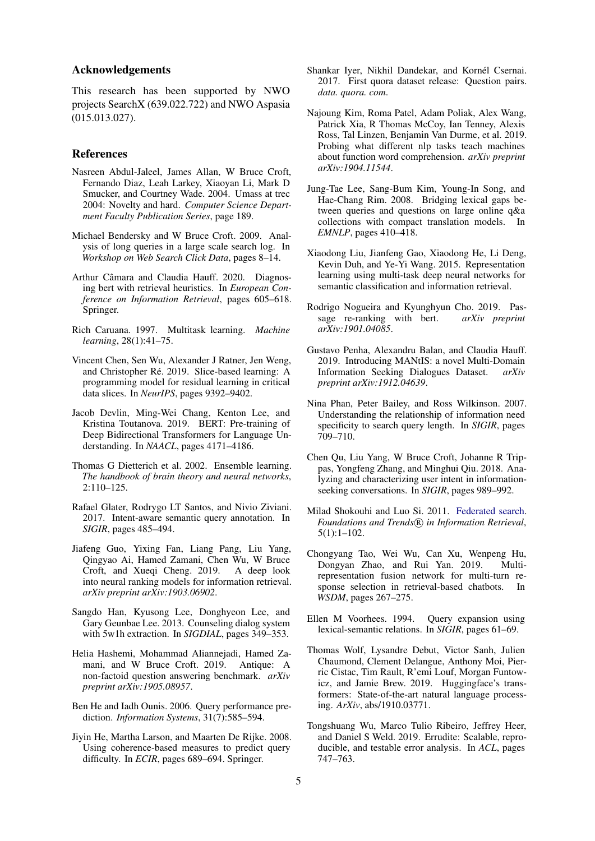#### Acknowledgements

This research has been supported by NWO projects SearchX (639.022.722) and NWO Aspasia (015.013.027).

#### References

- <span id="page-4-1"></span>Nasreen Abdul-Jaleel, James Allan, W Bruce Croft, Fernando Diaz, Leah Larkey, Xiaoyan Li, Mark D Smucker, and Courtney Wade. 2004. Umass at trec 2004: Novelty and hard. *Computer Science Department Faculty Publication Series*, page 189.
- <span id="page-4-9"></span>Michael Bendersky and W Bruce Croft. 2009. Analysis of long queries in a large scale search log. In *Workshop on Web Search Click Data*, pages 8–14.
- <span id="page-4-5"></span>Arthur Câmara and Claudia Hauff. 2020. Diagnosing bert with retrieval heuristics. In *European Conference on Information Retrieval*, pages 605–618. Springer.
- <span id="page-4-8"></span>Rich Caruana. 1997. Multitask learning. *Machine learning*, 28(1):41–75.
- <span id="page-4-0"></span>Vincent Chen, Sen Wu, Alexander J Ratner, Jen Weng, and Christopher Ré. 2019. Slice-based learning: A programming model for residual learning in critical data slices. In *NeurIPS*, pages 9392–9402.
- <span id="page-4-2"></span>Jacob Devlin, Ming-Wei Chang, Kenton Lee, and Kristina Toutanova. 2019. BERT: Pre-training of Deep Bidirectional Transformers for Language Understanding. In *NAACL*, pages 4171–4186.
- <span id="page-4-7"></span>Thomas G Dietterich et al. 2002. Ensemble learning. *The handbook of brain theory and neural networks*, 2:110–125.
- <span id="page-4-13"></span>Rafael Glater, Rodrygo LT Santos, and Nivio Ziviani. 2017. Intent-aware semantic query annotation. In *SIGIR*, pages 485–494.
- <span id="page-4-19"></span>Jiafeng Guo, Yixing Fan, Liang Pang, Liu Yang, Qingyao Ai, Hamed Zamani, Chen Wu, W Bruce Croft, and Xueqi Cheng. 2019. A deep look into neural ranking models for information retrieval. *arXiv preprint arXiv:1903.06902*.
- <span id="page-4-15"></span>Sangdo Han, Kyusong Lee, Donghyeon Lee, and Gary Geunbae Lee. 2013. Counseling dialog system with 5w1h extraction. In *SIGDIAL*, pages 349–353.
- <span id="page-4-24"></span>Helia Hashemi, Mohammad Aliannejadi, Hamed Zamani, and W Bruce Croft. 2019. Antique: A non-factoid question answering benchmark. *arXiv preprint arXiv:1905.08957*.
- <span id="page-4-4"></span>Ben He and Iadh Ounis. 2006. Query performance prediction. *Information Systems*, 31(7):585–594.
- <span id="page-4-20"></span>Jiyin He, Martha Larson, and Maarten De Rijke. 2008. Using coherence-based measures to predict query difficulty. In *ECIR*, pages 689–694. Springer.
- <span id="page-4-23"></span>Shankar Iver, Nikhil Dandekar, and Kornél Csernai. 2017. First quora dataset release: Question pairs. *data. quora. com*.
- <span id="page-4-16"></span>Najoung Kim, Roma Patel, Adam Poliak, Alex Wang, Patrick Xia, R Thomas McCoy, Ian Tenney, Alexis Ross, Tal Linzen, Benjamin Van Durme, et al. 2019. Probing what different nlp tasks teach machines about function word comprehension. *arXiv preprint arXiv:1904.11544*.
- <span id="page-4-17"></span>Jung-Tae Lee, Sang-Bum Kim, Young-In Song, and Hae-Chang Rim. 2008. Bridging lexical gaps between queries and questions on large online q&a collections with compact translation models. In *EMNLP*, pages 410–418.
- <span id="page-4-14"></span>Xiaodong Liu, Jianfeng Gao, Xiaodong He, Li Deng, Kevin Duh, and Ye-Yi Wang. 2015. Representation learning using multi-task deep neural networks for semantic classification and information retrieval.
- <span id="page-4-3"></span>Rodrigo Nogueira and Kyunghyun Cho. 2019. Passage re-ranking with bert. *arXiv preprint arXiv:1901.04085*.
- <span id="page-4-22"></span>Gustavo Penha, Alexandru Balan, and Claudia Hauff. 2019. Introducing MANtIS: a novel Multi-Domain Information Seeking Dialogues Dataset. *arXiv preprint arXiv:1912.04639*.
- <span id="page-4-10"></span>Nina Phan, Peter Bailey, and Ross Wilkinson. 2007. Understanding the relationship of information need specificity to search query length. In *SIGIR*, pages 709–710.
- <span id="page-4-21"></span>Chen Qu, Liu Yang, W Bruce Croft, Johanne R Trippas, Yongfeng Zhang, and Minghui Qiu. 2018. Analyzing and characterizing user intent in informationseeking conversations. In *SIGIR*, pages 989–992.
- <span id="page-4-12"></span>Milad Shokouhi and Luo Si. 2011. [Federated search.](https://doi.org/10.1561/1500000010) *Foundations and Trends*  $(R)$  *in Information Retrieval*, 5(1):1–102.
- <span id="page-4-11"></span>Chongyang Tao, Wei Wu, Can Xu, Wenpeng Hu, Dongyan Zhao, and Rui Yan. 2019. Multirepresentation fusion network for multi-turn response selection in retrieval-based chatbots. In *WSDM*, pages 267–275.
- <span id="page-4-18"></span>Ellen M Voorhees. 1994. Query expansion using lexical-semantic relations. In *SIGIR*, pages 61–69.
- <span id="page-4-25"></span>Thomas Wolf, Lysandre Debut, Victor Sanh, Julien Chaumond, Clement Delangue, Anthony Moi, Pierric Cistac, Tim Rault, R'emi Louf, Morgan Funtowicz, and Jamie Brew. 2019. Huggingface's transformers: State-of-the-art natural language processing. *ArXiv*, abs/1910.03771.
- <span id="page-4-6"></span>Tongshuang Wu, Marco Tulio Ribeiro, Jeffrey Heer, and Daniel S Weld. 2019. Errudite: Scalable, reproducible, and testable error analysis. In *ACL*, pages 747–763.